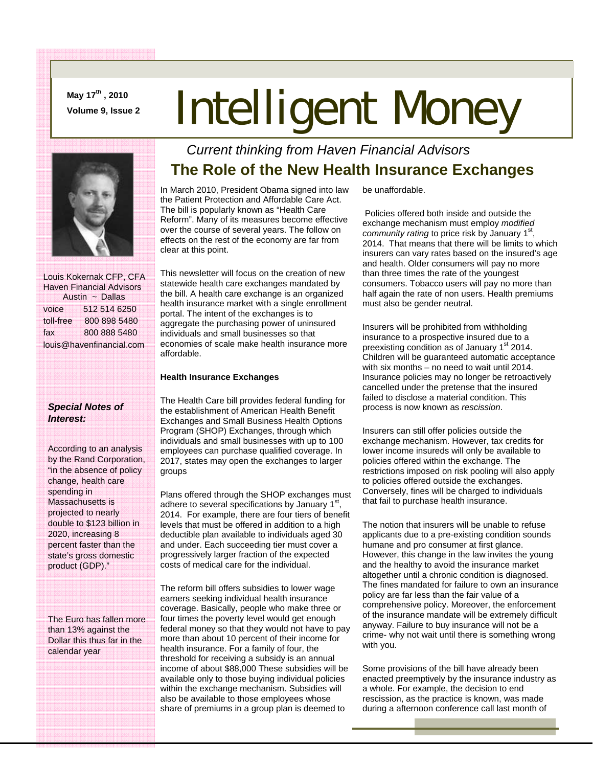**May 17th , 2010** 

# **May 17<sup>cm</sup>, 2010**<br>Volume 9, Issue 2 **Intelligent Money**



 Louis Kokernak CFP, CFA Haven Financial Advisors Austin ~ Dallas voice 512 514 6250 toll-free 800 898 5480 fax 800 888 5480 louis@havenfinancial.com

### *Special Notes of Interest:*

According to an analysis by the Rand Corporation, "in the absence of policy change, health care spending in Massachusetts is projected to nearly double to \$123 billion in 2020, increasing 8 percent faster than the state's gross domestic product (GDP)."

The Euro has fallen more than 13% against the Dollar this thus far in the calendar year

## *Current thinking from Haven Financial Advisors*  **The Role of the New Health Insurance Exchanges**

In March 2010, President Obama signed into law the Patient Protection and Affordable Care Act. The bill is popularly known as "Health Care Reform". Many of its measures become effective over the course of several years. The follow on effects on the rest of the economy are far from clear at this point.

This newsletter will focus on the creation of new statewide health care exchanges mandated by the bill. A health care exchange is an organized health insurance market with a single enrollment portal. The intent of the exchanges is to aggregate the purchasing power of uninsured individuals and small businesses so that economies of scale make health insurance more affordable.

#### **Health Insurance Exchanges**

The Health Care bill provides federal funding for the establishment of American Health Benefit Exchanges and Small Business Health Options Program (SHOP) Exchanges, through which individuals and small businesses with up to 100 employees can purchase qualified coverage. In 2017, states may open the exchanges to larger groups

Plans offered through the SHOP exchanges must adhere to several specifications by January  $1<sup>st</sup>$ , 2014. For example, there are four tiers of benefit levels that must be offered in addition to a high deductible plan available to individuals aged 30 and under. Each succeeding tier must cover a progressively larger fraction of the expected costs of medical care for the individual.

The reform bill offers subsidies to lower wage earners seeking individual health insurance coverage. Basically, people who make three or four times the poverty level would get enough federal money so that they would not have to pay more than about 10 percent of their income for health insurance. For a family of four, the threshold for receiving a subsidy is an annual income of about \$88,000 These subsidies will be available only to those buying individual policies within the exchange mechanism. Subsidies will also be available to those employees whose share of premiums in a group plan is deemed to

be unaffordable.

 Policies offered both inside and outside the exchange mechanism must employ *modified community rating* to price risk by January 1<sup>st</sup>, 2014. That means that there will be limits to which insurers can vary rates based on the insured's age and health. Older consumers will pay no more than three times the rate of the youngest consumers. Tobacco users will pay no more than half again the rate of non users. Health premiums must also be gender neutral.

Insurers will be prohibited from withholding insurance to a prospective insured due to a preexisting condition as of January 1<sup>st</sup> 2014. Children will be guaranteed automatic acceptance with six months – no need to wait until 2014. Insurance policies may no longer be retroactively cancelled under the pretense that the insured failed to disclose a material condition. This process is now known as *rescission*.

Insurers can still offer policies outside the exchange mechanism. However, tax credits for lower income insureds will only be available to policies offered within the exchange. The restrictions imposed on risk pooling will also apply to policies offered outside the exchanges. Conversely, fines will be charged to individuals that fail to purchase health insurance.

The notion that insurers will be unable to refuse applicants due to a pre-existing condition sounds humane and pro consumer at first glance. However, this change in the law invites the young and the healthy to avoid the insurance market altogether until a chronic condition is diagnosed. The fines mandated for failure to own an insurance policy are far less than the fair value of a comprehensive policy. Moreover, the enforcement of the insurance mandate will be extremely difficult anyway. Failure to buy insurance will not be a crime- why not wait until there is something wrong with you.

Some provisions of the bill have already been enacted preemptively by the insurance industry as a whole. For example, the decision to end rescission, as the practice is known, was made during a afternoon conference call last month of